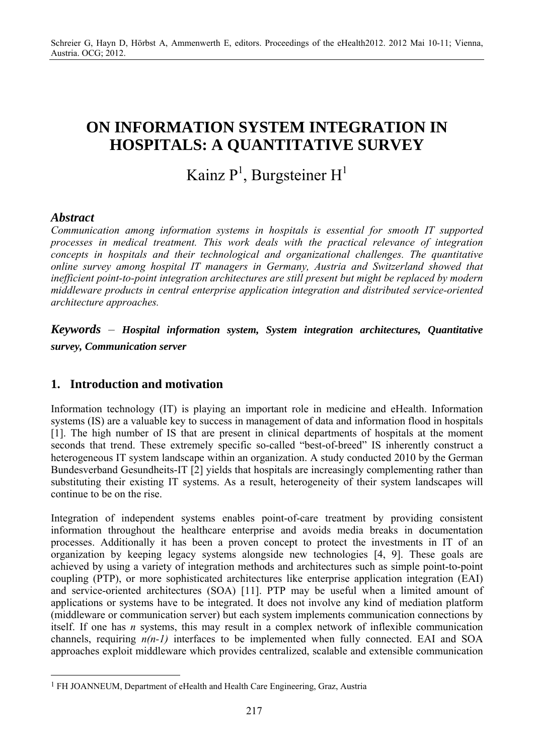## **ON INFORMATION SYSTEM INTEGRATION IN HOSPITALS: A QUANTITATIVE SURVEY**

# Kainz  $P^1$ , Burgsteiner  $H^1$

## *Abstract*

 $\overline{a}$ 

*Communication among information systems in hospitals is essential for smooth IT supported processes in medical treatment. This work deals with the practical relevance of integration concepts in hospitals and their technological and organizational challenges. The quantitative online survey among hospital IT managers in Germany, Austria and Switzerland showed that inefficient point-to-point integration architectures are still present but might be replaced by modern middleware products in central enterprise application integration and distributed service-oriented architecture approaches.* 

*Keywords* – *Hospital information system, System integration architectures, Quantitative survey, Communication server* 

## **1. Introduction and motivation**

Information technology (IT) is playing an important role in medicine and eHealth. Information systems (IS) are a valuable key to success in management of data and information flood in hospitals [1]. The high number of IS that are present in clinical departments of hospitals at the moment seconds that trend. These extremely specific so-called "best-of-breed" IS inherently construct a heterogeneous IT system landscape within an organization. A study conducted 2010 by the German Bundesverband Gesundheits-IT [2] yields that hospitals are increasingly complementing rather than substituting their existing IT systems. As a result, heterogeneity of their system landscapes will continue to be on the rise.

Integration of independent systems enables point-of-care treatment by providing consistent information throughout the healthcare enterprise and avoids media breaks in documentation processes. Additionally it has been a proven concept to protect the investments in IT of an organization by keeping legacy systems alongside new technologies [4, 9]. These goals are achieved by using a variety of integration methods and architectures such as simple point-to-point coupling (PTP), or more sophisticated architectures like enterprise application integration (EAI) and service-oriented architectures (SOA) [11]. PTP may be useful when a limited amount of applications or systems have to be integrated. It does not involve any kind of mediation platform (middleware or communication server) but each system implements communication connections by itself. If one has *n* systems, this may result in a complex network of inflexible communication channels, requiring *n(n-1)* interfaces to be implemented when fully connected. EAI and SOA approaches exploit middleware which provides centralized, scalable and extensible communication

<sup>&</sup>lt;sup>1</sup> FH JOANNEUM, Department of eHealth and Health Care Engineering, Graz, Austria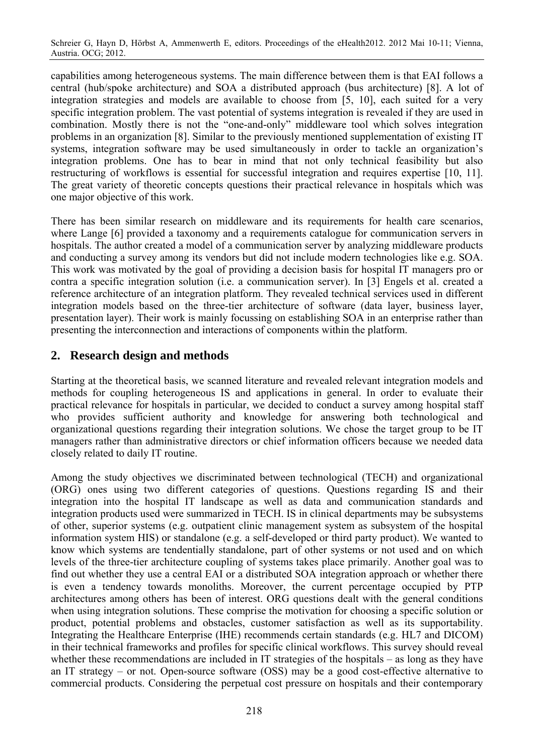Schreier G, Hayn D, Hörbst A, Ammenwerth E, editors. Proceedings of the eHealth2012. 2012 Mai 10-11; Vienna, Austria. OCG; 2012.

capabilities among heterogeneous systems. The main difference between them is that EAI follows a central (hub/spoke architecture) and SOA a distributed approach (bus architecture) [8]. A lot of integration strategies and models are available to choose from [5, 10], each suited for a very specific integration problem. The vast potential of systems integration is revealed if they are used in combination. Mostly there is not the "one-and-only" middleware tool which solves integration problems in an organization [8]. Similar to the previously mentioned supplementation of existing IT systems, integration software may be used simultaneously in order to tackle an organization's integration problems. One has to bear in mind that not only technical feasibility but also restructuring of workflows is essential for successful integration and requires expertise [10, 11]. The great variety of theoretic concepts questions their practical relevance in hospitals which was one major objective of this work.

There has been similar research on middleware and its requirements for health care scenarios, where Lange [6] provided a taxonomy and a requirements catalogue for communication servers in hospitals. The author created a model of a communication server by analyzing middleware products and conducting a survey among its vendors but did not include modern technologies like e.g. SOA. This work was motivated by the goal of providing a decision basis for hospital IT managers pro or contra a specific integration solution (i.e. a communication server). In [3] Engels et al. created a reference architecture of an integration platform. They revealed technical services used in different integration models based on the three-tier architecture of software (data layer, business layer, presentation layer). Their work is mainly focussing on establishing SOA in an enterprise rather than presenting the interconnection and interactions of components within the platform.

## **2. Research design and methods**

Starting at the theoretical basis, we scanned literature and revealed relevant integration models and methods for coupling heterogeneous IS and applications in general. In order to evaluate their practical relevance for hospitals in particular, we decided to conduct a survey among hospital staff who provides sufficient authority and knowledge for answering both technological and organizational questions regarding their integration solutions. We chose the target group to be IT managers rather than administrative directors or chief information officers because we needed data closely related to daily IT routine.

Among the study objectives we discriminated between technological (TECH) and organizational (ORG) ones using two different categories of questions. Questions regarding IS and their integration into the hospital IT landscape as well as data and communication standards and integration products used were summarized in TECH. IS in clinical departments may be subsystems of other, superior systems (e.g. outpatient clinic management system as subsystem of the hospital information system HIS) or standalone (e.g. a self-developed or third party product). We wanted to know which systems are tendentially standalone, part of other systems or not used and on which levels of the three-tier architecture coupling of systems takes place primarily. Another goal was to find out whether they use a central EAI or a distributed SOA integration approach or whether there is even a tendency towards monoliths. Moreover, the current percentage occupied by PTP architectures among others has been of interest. ORG questions dealt with the general conditions when using integration solutions. These comprise the motivation for choosing a specific solution or product, potential problems and obstacles, customer satisfaction as well as its supportability. Integrating the Healthcare Enterprise (IHE) recommends certain standards (e.g. HL7 and DICOM) in their technical frameworks and profiles for specific clinical workflows. This survey should reveal whether these recommendations are included in IT strategies of the hospitals – as long as they have an IT strategy – or not. Open-source software (OSS) may be a good cost-effective alternative to commercial products. Considering the perpetual cost pressure on hospitals and their contemporary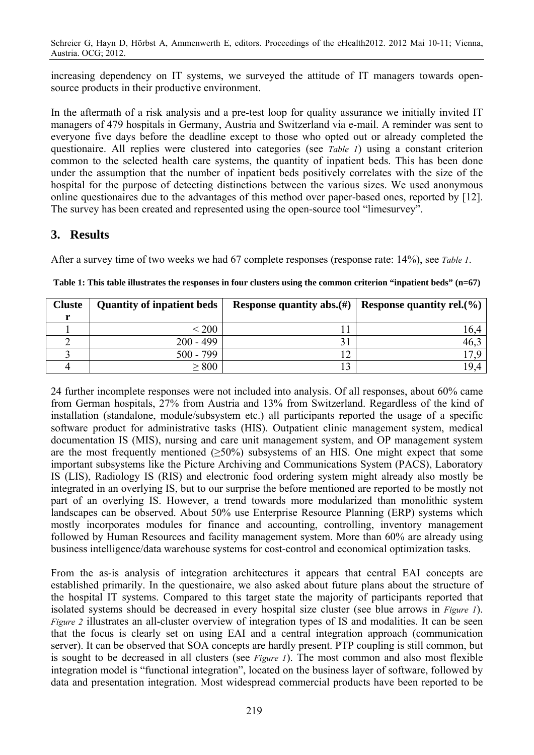Schreier G, Hayn D, Hörbst A, Ammenwerth E, editors. Proceedings of the eHealth2012. 2012 Mai 10-11; Vienna, Austria. OCG; 2012.

increasing dependency on IT systems, we surveyed the attitude of IT managers towards opensource products in their productive environment.

In the aftermath of a risk analysis and a pre-test loop for quality assurance we initially invited IT managers of 479 hospitals in Germany, Austria and Switzerland via e-mail. A reminder was sent to everyone five days before the deadline except to those who opted out or already completed the questionaire. All replies were clustered into categories (see *Table 1*) using a constant criterion common to the selected health care systems, the quantity of inpatient beds. This has been done under the assumption that the number of inpatient beds positively correlates with the size of the hospital for the purpose of detecting distinctions between the various sizes. We used anonymous online questionaires due to the advantages of this method over paper-based ones, reported by [12]. The survey has been created and represented using the open-source tool "limesurvey".

## **3. Results**

After a survey time of two weeks we had 67 complete responses (response rate: 14%), see *Table 1*.

| <b>Cluste</b> | <b>Quantity of inpatient beds</b> |        | Response quantity abs. $(\#)$   Response quantity rel. $(\%)$ |
|---------------|-----------------------------------|--------|---------------------------------------------------------------|
|               |                                   |        |                                                               |
|               | $\leq 200$                        |        | .6.4                                                          |
|               | $200 - 499$                       |        | 46.2                                                          |
|               | $500 - 799$                       | $\sim$ |                                                               |
|               | $\geq 800$                        |        | 194                                                           |

**Table 1: This table illustrates the responses in four clusters using the common criterion "inpatient beds" (n=67)** 

24 further incomplete responses were not included into analysis. Of all responses, about 60% came from German hospitals, 27% from Austria and 13% from Switzerland. Regardless of the kind of installation (standalone, module/subsystem etc.) all participants reported the usage of a specific software product for administrative tasks (HIS). Outpatient clinic management system, medical documentation IS (MIS), nursing and care unit management system, and OP management system are the most frequently mentioned  $(\geq 50\%)$  subsystems of an HIS. One might expect that some important subsystems like the Picture Archiving and Communications System (PACS), Laboratory IS (LIS), Radiology IS (RIS) and electronic food ordering system might already also mostly be integrated in an overlying IS, but to our surprise the before mentioned are reported to be mostly not part of an overlying IS. However, a trend towards more modularized than monolithic system landscapes can be observed. About 50% use Enterprise Resource Planning (ERP) systems which mostly incorporates modules for finance and accounting, controlling, inventory management followed by Human Resources and facility management system. More than 60% are already using business intelligence/data warehouse systems for cost-control and economical optimization tasks.

From the as-is analysis of integration architectures it appears that central EAI concepts are established primarily. In the questionaire, we also asked about future plans about the structure of the hospital IT systems. Compared to this target state the majority of participants reported that isolated systems should be decreased in every hospital size cluster (see blue arrows in *Figure 1*). *Figure 2* illustrates an all-cluster overview of integration types of IS and modalities. It can be seen that the focus is clearly set on using EAI and a central integration approach (communication server). It can be observed that SOA concepts are hardly present. PTP coupling is still common, but is sought to be decreased in all clusters (see *Figure 1*). The most common and also most flexible integration model is "functional integration", located on the business layer of software, followed by data and presentation integration. Most widespread commercial products have been reported to be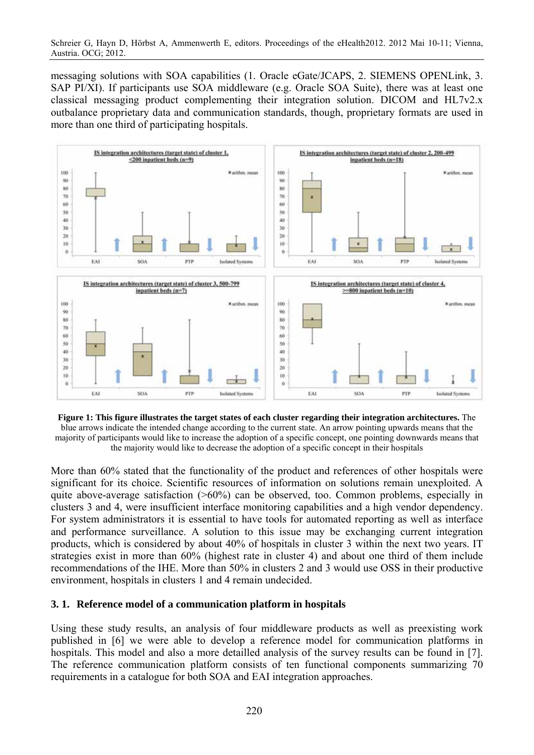messaging solutions with SOA capabilities (1. Oracle eGate/JCAPS, 2. SIEMENS OPENLink, 3. SAP PI/XI). If participants use SOA middleware (e.g. Oracle SOA Suite), there was at least one classical messaging product complementing their integration solution. DICOM and HL7v2.x outbalance proprietary data and communication standards, though, proprietary formats are used in more than one third of participating hospitals.



**Figure 1: This figure illustrates the target states of each cluster regarding their integration architectures.** The blue arrows indicate the intended change according to the current state. An arrow pointing upwards means that the majority of participants would like to increase the adoption of a specific concept, one pointing downwards means that the majority would like to decrease the adoption of a specific concept in their hospitals

More than 60% stated that the functionality of the product and references of other hospitals were significant for its choice. Scientific resources of information on solutions remain unexploited. A quite above-average satisfaction (>60%) can be observed, too. Common problems, especially in clusters 3 and 4, were insufficient interface monitoring capabilities and a high vendor dependency. For system administrators it is essential to have tools for automated reporting as well as interface and performance surveillance. A solution to this issue may be exchanging current integration products, which is considered by about 40% of hospitals in cluster 3 within the next two years. IT strategies exist in more than 60% (highest rate in cluster 4) and about one third of them include recommendations of the IHE. More than 50% in clusters 2 and 3 would use OSS in their productive environment, hospitals in clusters 1 and 4 remain undecided.

#### **3. 1. Reference model of a communication platform in hospitals**

Using these study results, an analysis of four middleware products as well as preexisting work published in [6] we were able to develop a reference model for communication platforms in hospitals. This model and also a more detailled analysis of the survey results can be found in [7]. The reference communication platform consists of ten functional components summarizing 70 requirements in a catalogue for both SOA and EAI integration approaches.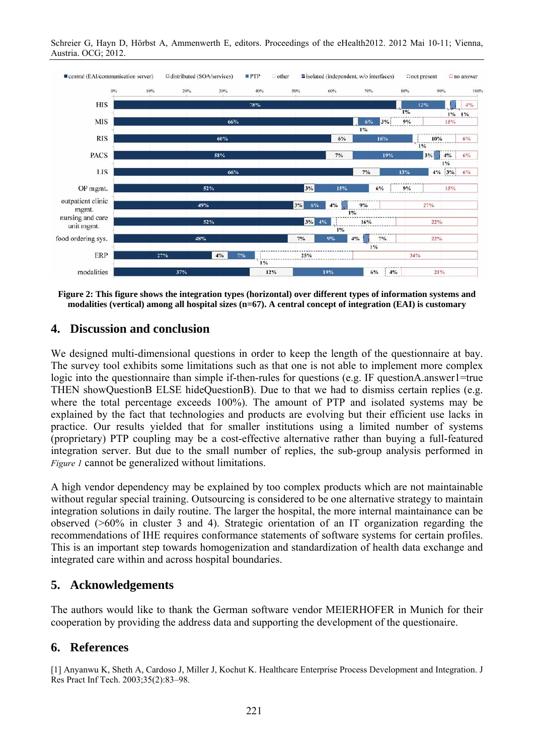Schreier G, Hayn D, Hörbst A, Ammenwerth E, editors. Proceedings of the eHealth2012. 2012 Mai 10-11; Vienna, Austria. OCG; 2012.



**Figure 2: This figure shows the integration types (horizontal) over different types of information systems and modalities (vertical) among all hospital sizes (n=67). A central concept of integration (EAI) is customary** 

### **4. Discussion and conclusion**

We designed multi-dimensional questions in order to keep the length of the questionnaire at bay. The survey tool exhibits some limitations such as that one is not able to implement more complex logic into the questionnaire than simple if-then-rules for questions (e.g. IF questionA.answer1=true THEN showQuestionB ELSE hideQuestionB). Due to that we had to dismiss certain replies (e.g. where the total percentage exceeds 100%). The amount of PTP and isolated systems may be explained by the fact that technologies and products are evolving but their efficient use lacks in practice. Our results yielded that for smaller institutions using a limited number of systems (proprietary) PTP coupling may be a cost-effective alternative rather than buying a full-featured integration server. But due to the small number of replies, the sub-group analysis performed in *Figure 1* cannot be generalized without limitations.

A high vendor dependency may be explained by too complex products which are not maintainable without regular special training. Outsourcing is considered to be one alternative strategy to maintain integration solutions in daily routine. The larger the hospital, the more internal maintainance can be observed (>60% in cluster 3 and 4). Strategic orientation of an IT organization regarding the recommendations of IHE requires conformance statements of software systems for certain profiles. This is an important step towards homogenization and standardization of health data exchange and integrated care within and across hospital boundaries.

## **5. Acknowledgements**

The authors would like to thank the German software vendor MEIERHOFER in Munich for their cooperation by providing the address data and supporting the development of the questionaire.

## **6. References**

[1] Anyanwu K, Sheth A, Cardoso J, Miller J, Kochut K. Healthcare Enterprise Process Development and Integration. J Res Pract Inf Tech. 2003;35(2):83–98.